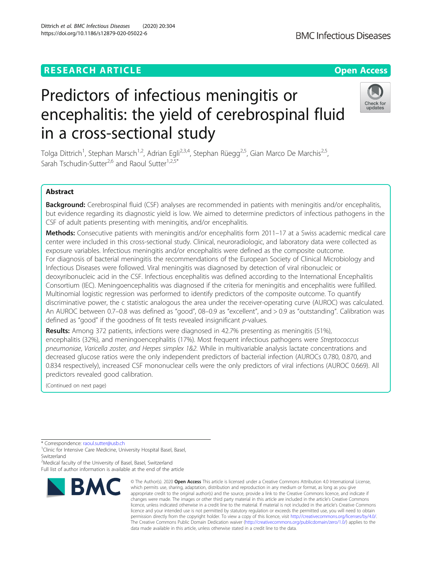## **RESEARCH ARTICLE Example 2014 12:30 The Contract of Contract ACCESS**

# Predictors of infectious meningitis or encephalitis: the yield of cerebrospinal fluid in a cross-sectional study

Tolga Dittrich<sup>1</sup>, Stephan Marsch<sup>1,2</sup>, Adrian Egli<sup>2,3,4</sup>, Stephan Rüegg<sup>2,5</sup>, Gian Marco De Marchis<sup>2,5</sup>, Sarah Tschudin-Sutter<sup>2,6</sup> and Raoul Sutter<sup>1,2,5\*</sup>

## Abstract

Background: Cerebrospinal fluid (CSF) analyses are recommended in patients with meningitis and/or encephalitis, but evidence regarding its diagnostic yield is low. We aimed to determine predictors of infectious pathogens in the CSF of adult patients presenting with meningitis, and/or encephalitis.

Methods: Consecutive patients with meningitis and/or encephalitis form 2011-17 at a Swiss academic medical care center were included in this cross-sectional study. Clinical, neuroradiologic, and laboratory data were collected as exposure variables. Infectious meningitis and/or encephalitis were defined as the composite outcome. For diagnosis of bacterial meningitis the recommendations of the European Society of Clinical Microbiology and Infectious Diseases were followed. Viral meningitis was diagnosed by detection of viral ribonucleic or deoxyribonucleic acid in the CSF. Infectious encephalitis was defined according to the International Encephalitis Consortium (IEC). Meningoencephalitis was diagnosed if the criteria for meningitis and encephalitis were fulfilled. Multinomial logistic regression was performed to identify predictors of the composite outcome. To quantify discriminative power, the c statistic analogous the area under the receiver-operating curve (AUROC) was calculated. An AUROC between 0.7–0.8 was defined as "good", 08–0.9 as "excellent", and > 0.9 as "outstanding". Calibration was defined as "good" if the goodness of fit tests revealed insignificant p-values.

Results: Among 372 patients, infections were diagnosed in 42.7% presenting as meningitis (51%), encephalitis (32%), and meningoencephalitis (17%). Most frequent infectious pathogens were Streptococcus pneumoniae, Varicella zoster, and Herpes simplex 1&2. While in multivariable analysis lactate concentrations and decreased glucose ratios were the only independent predictors of bacterial infection (AUROCs 0.780, 0.870, and 0.834 respectively), increased CSF mononuclear cells were the only predictors of viral infections (AUROC 0.669). All predictors revealed good calibration.

(Continued on next page)

<sup>2</sup>Medical faculty of the University of Basel, Basel, Switzerland Full list of author information is available at the end of the article







<sup>\*</sup> Correspondence: [raoul.sutter@usb.ch](mailto:raoul.sutter@usb.ch)<br><sup>1</sup>Clinic for Intensive Care Medicine, University Hospital Basel, Basel, Switzerland

**BMC Infectious Diseases** 

<sup>©</sup> The Author(s), 2020 **Open Access** This article is licensed under a Creative Commons Attribution 4.0 International License, which permits use, sharing, adaptation, distribution and reproduction in any medium or format, as long as you give appropriate credit to the original author(s) and the source, provide a link to the Creative Commons licence, and indicate if changes were made. The images or other third party material in this article are included in the article's Creative Commons licence, unless indicated otherwise in a credit line to the material. If material is not included in the article's Creative Commons licence and your intended use is not permitted by statutory regulation or exceeds the permitted use, you will need to obtain permission directly from the copyright holder. To view a copy of this licence, visit [http://creativecommons.org/licenses/by/4.0/.](http://creativecommons.org/licenses/by/4.0/) The Creative Commons Public Domain Dedication waiver [\(http://creativecommons.org/publicdomain/zero/1.0/](http://creativecommons.org/publicdomain/zero/1.0/)) applies to the data made available in this article, unless otherwise stated in a credit line to the data.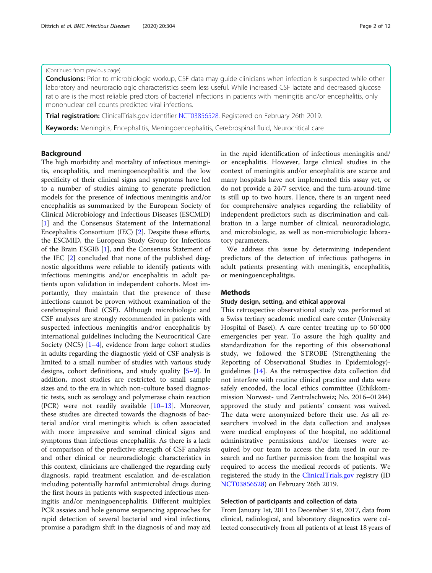## (Continued from previous page)

**Conclusions:** Prior to microbiologic workup, CSF data may guide clinicians when infection is suspected while other laboratory and neuroradiologic characteristics seem less useful. While increased CSF lactate and decreased glucose ratio are is the most reliable predictors of bacterial infections in patients with meningitis and/or encephalitis, only mononuclear cell counts predicted viral infections.

**Trial registration:** ClinicalTrials.gov identifier [NCT03856528](https://clinicaltrials.gov/ct2/show/NCT03856528). Registered on February 26th 2019.

Keywords: Meningitis, Encephalitis, Meningoencephalitis, Cerebrospinal fluid, Neurocritical care

#### Background

The high morbidity and mortality of infectious meningitis, encephalitis, and meningoencephalitis and the low specificity of their clinical signs and symptoms have led to a number of studies aiming to generate prediction models for the presence of infectious meningitis and/or encephalitis as summarized by the European Society of Clinical Microbiology and Infectious Diseases (ESCMID) [[1\]](#page-10-0) and the Consensus Statement of the International Encephalitis Consortium (IEC) [\[2](#page-10-0)]. Despite these efforts, the ESCMID, the European Study Group for Infections of the Brain ESGIB [[1\]](#page-10-0), and the Consensus Statement of the IEC [[2\]](#page-10-0) concluded that none of the published diagnostic algorithms were reliable to identify patients with infectious meningitis and/or encephalitis in adult patients upon validation in independent cohorts. Most importantly, they maintain that the presence of these infections cannot be proven without examination of the cerebrospinal fluid (CSF). Although microbiologic and CSF analyses are strongly recommended in patients with suspected infectious meningitis and/or encephalitis by international guidelines including the Neurocritical Care Society (NCS)  $[1-4]$  $[1-4]$  $[1-4]$  $[1-4]$  $[1-4]$ , evidence from large cohort studies in adults regarding the diagnostic yield of CSF analysis is limited to a small number of studies with various study designs, cohort definitions, and study quality [\[5](#page-10-0)–[9\]](#page-11-0). In addition, most studies are restricted to small sample sizes and to the era in which non-culture based diagnostic tests, such as serology and polymerase chain reaction (PCR) were not readily available [\[10](#page-11-0)–[13\]](#page-11-0). Moreover, these studies are directed towards the diagnosis of bacterial and/or viral meningitis which is often associated with more impressive and seminal clinical signs and symptoms than infectious encephalitis. As there is a lack of comparison of the predictive strength of CSF analysis and other clinical or neuroradiologic characteristics in this context, clinicians are challenged the regarding early diagnosis, rapid treatment escalation and de-escalation including potentially harmful antimicrobial drugs during the first hours in patients with suspected infectious meningitis and/or meningoencephalitis. Different multiplex PCR assaies and hole genome sequencing approaches for rapid detection of several bacterial and viral infections, promise a paradigm shift in the diagnosis of and may aid

in the rapid identification of infectious meningitis and/ or encephalitis. However, large clinical studies in the context of meningitis and/or encephalitis are scarce and many hospitals have not implemented this assay yet, or do not provide a 24/7 service, and the turn-around-time is still up to two hours. Hence, there is an urgent need for comprehensive analyses regarding the reliability of independent predictors such as discrimination and calibration in a large number of clinical, neuroradiologic, and microbiologic, as well as non-microbiologic laboratory parameters.

We address this issue by determining independent predictors of the detection of infectious pathogens in adult patients presenting with meningitis, encephalitis, or meningoencephalitgis.

## **Methods**

## Study design, setting, and ethical approval

This retrospective observational study was performed at a Swiss tertiary academic medical care center (University Hospital of Basel). A care center treating up to 50′000 emergencies per year. To assure the high quality and standardization for the reporting of this observational study, we followed the STROBE (Strengthening the Reporting of Observational Studies in Epidemiology) guidelines [[14\]](#page-11-0). As the retrospective data collection did not interfere with routine clinical practice and data were safely encoded, the local ethics committee (Ethikkommission Norwest- und Zentralschweiz; No. 2016–01244) approved the study and patients' consent was waived. The data were anonymized before their use. As all researchers involved in the data collection and analyses were medical employees of the hospital, no additional administrative permissions and/or licenses were acquired by our team to access the data used in our research and no further permission from the hospital was required to access the medical records of patients. We registered the study in the [ClinicalTrials.gov](http://clinicaltrials.gov/) registry (ID [NCT03856528\)](https://clinicaltrials.gov/ct2/show/NCT03856528) on February 26th 2019.

## Selection of participants and collection of data

From January 1st, 2011 to December 31st, 2017, data from clinical, radiological, and laboratory diagnostics were collected consecutively from all patients of at least 18 years of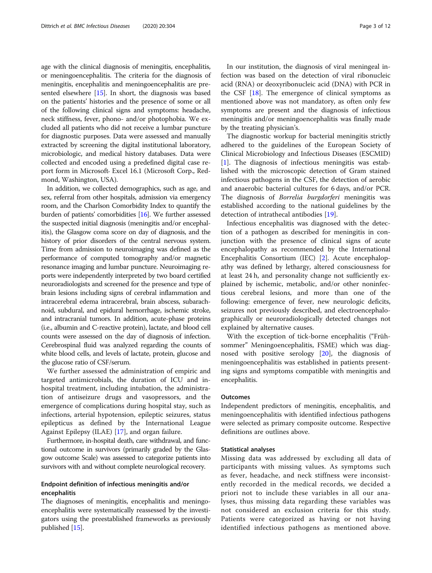age with the clinical diagnosis of meningitis, encephalitis, or meningoencephalitis. The criteria for the diagnosis of meningitis, encephalitis and meningoencephalitis are presented elsewhere  $[15]$  $[15]$ . In short, the diagnosis was based on the patients' histories and the presence of some or all of the following clinical signs and symptoms: headache, neck stiffness, fever, phono- and/or photophobia. We excluded all patients who did not receive a lumbar puncture for diagnostic purposes. Data were assessed and manually extracted by screening the digital institutional laboratory, microbiologic, and medical history databases. Data were collected and encoded using a predefined digital case report form in Microsoft Excel 16.1 (Microsoft Corp., Redmond, Washington, USA).

In addition, we collected demographics, such as age, and sex, referral from other hospitals, admission via emergency room, and the Charlson Comorbidity Index to quantify the burden of patients' comorbidities [\[16\]](#page-11-0). We further assessed the suspected initial diagnosis (meningitis and/or encephalitis), the Glasgow coma score on day of diagnosis, and the history of prior disorders of the central nervous system. Time from admission to neuroimaging was defined as the performance of computed tomography and/or magnetic resonance imaging and lumbar puncture. Neuroimaging reports were independently interpreted by two board certified neuroradiologists and screened for the presence and type of brain lesions including signs of cerebral inflammation and intracerebral edema intracerebral, brain abscess, subarachnoid, subdural, and epidural hemorrhage, ischemic stroke, and intracranial tumors. In addition, acute-phase proteins (i.e., albumin and C-reactive protein), lactate, and blood cell counts were assessed on the day of diagnosis of infection. Cerebrospinal fluid was analyzed regarding the counts of white blood cells, and levels of lactate, protein, glucose and the glucose ratio of CSF/serum.

We further assessed the administration of empiric and targeted antimicrobials, the duration of ICU and inhospital treatment, including intubation, the administration of antiseizure drugs and vasopressors, and the emergence of complications during hospital stay, such as infections, arterial hypotension, epileptic seizures, status epilepticus as defined by the International League Against Epilepsy (ILAE) [[17\]](#page-11-0), and organ failure.

Furthermore, in-hospital death, care withdrawal, and functional outcome in survivors (primarily graded by the Glasgow outcome Scale) was assessed to categorize patients into survivors with and without complete neurological recovery.

## Endpoint definition of infectious meningitis and/or encephalitis

The diagnoses of meningitis, encephalitis and meningoencephalitis were systematically reassessed by the investigators using the preestablished frameworks as previously published [\[15\]](#page-11-0).

In our institution, the diagnosis of viral meningeal infection was based on the detection of viral ribonucleic acid (RNA) or deoxyribonucleic acid (DNA) with PCR in the CSF [\[18](#page-11-0)]. The emergence of clinical symptoms as mentioned above was not mandatory, as often only few symptoms are present and the diagnosis of infectious meningitis and/or meningoencephalitis was finally made by the treating physician's.

The diagnostic workup for bacterial meningitis strictly adhered to the guidelines of the European Society of Clinical Microbiology and Infectious Diseases (ESCMID) [[1\]](#page-10-0). The diagnosis of infectious meningitis was established with the microscopic detection of Gram stained infectious pathogens in the CSF, the detection of aerobic and anaerobic bacterial cultures for 6 days, and/or PCR. The diagnosis of Borrelia burgdorferi meningitis was established according to the national guidelines by the detection of intrathecal antibodies [[19](#page-11-0)].

Infectious encephalitis was diagnosed with the detection of a pathogen as described for meningitis in conjunction with the presence of clinical signs of acute encephalopathy as recommended by the International Encephalitis Consortium (IEC) [[2\]](#page-10-0). Acute encephalopathy was defined by lethargy, altered consciousness for at least 24 h, and personality change not sufficiently explained by ischemic, metabolic, and/or other noninfectious cerebral lesions, and more than one of the following: emergence of fever, new neurologic deficits, seizures not previously described, and electroencephalographically or neuroradiologically detected changes not explained by alternative causes.

With the exception of tick-borne encephalitis ("Frühsommer" Meningoencephalitis, FSME) which was diagnosed with positive serology [[20](#page-11-0)], the diagnosis of meningoencephalitis was established in patients presenting signs and symptoms compatible with meningitis and encephalitis.

## **Outcomes**

Independent predictors of meningitis, encephalitis, and meningoencephalitis with identified infectious pathogens were selected as primary composite outcome. Respective definitions are outlines above.

## Statistical analyses

Missing data was addressed by excluding all data of participants with missing values. As symptoms such as fever, headache, and neck stiffness were inconsistently recorded in the medical records, we decided a priori not to include these variables in all our analyses, thus missing data regarding these variables was not considered an exclusion criteria for this study. Patients were categorized as having or not having identified infectious pathogens as mentioned above.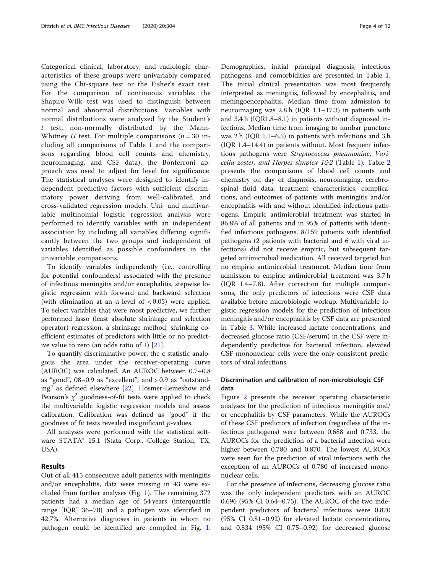Categorical clinical, laboratory, and radiologic characteristics of these groups were univariably compared using the Chi-square test or the Fisher's exact test. For the comparison of continuous variables the Shapiro-Wilk test was used to distinguish between normal and abnormal distributions. Variables with normal distributions were analyzed by the Student's  $t$  test, non-normally distributed by the Mann-Whitney U test. For multiple comparisons  $(n = 30$  including all comparisons of Table [1](#page-4-0) and the comparisons regarding blood cell counts and chemistry, neuroimaging, and CSF data), the Bonferroni approach was used to adjust for level for significance. The statistical analyses were designed to identify independent predictive factors with sufficient discriminatory power deriving from well-calibrated and cross-validated regression models. Uni- and multivariable multinomial logistic regression analysis were performed to identify variables with an independent association by including all variables differing significantly between the two groups and independent of variables identified as possible confounders in the univariable comparisons.

To identify variables independently (i.e., controlling for potential confounders) associated with the presence of infectious meningitis and/or encephalitis, stepwise logistic regression with forward and backward selection (with elimination at an  $\alpha$ -level of  $\langle 0.05 \rangle$  were applied. To select variables that were most predictive, we further performed lasso (least absolute shrinkage and selection operator) regression, a shrinkage method, shrinking coefficient estimates of predictors with little or no predictive value to zero (an odds ratio of 1) [\[21\]](#page-11-0).

To quantify discriminative power, the c statistic analogous the area under the receiver-operating curve (AUROC) was calculated. An AUROC between 0.7–0.8 as "good", 08–0.9 as "excellent", and > 0.9 as "outstanding" as defined elsewhere [[22\]](#page-11-0). Hosmer-Lemeshow and Pearson's  $\chi^2$  goodness-of-fit tests were applied to check the multivariable logistic regression models and assess calibration. Calibration was defined as "good" if the goodness of fit tests revealed insignificant p-values.

All analyses were performed with the statistical software STATA® 15.1 (Stata Corp., College Station, TX, USA).

## Results

Out of all 415 consecutive adult patients with meningitis and/or encephalitis, data were missing in 43 were excluded from further analyses (Fig. [1\)](#page-5-0). The remaining 372 patients had a median age of 54 years (interquartile range [IQR] 36–70) and a pathogen was identified in 42.7%. Alternative diagnoses in patients in whom no pathogen could be identified are compiled in Fig. [1](#page-5-0).

Demographics, initial principal diagnosis, infectious pathogens, and comorbidities are presented in Table [1](#page-4-0). The initial clinical presentation was most frequently interpreted as meningitis, followed by encephalitis, and meningoencephalitis. Median time from admission to neuroimaging was 2.8 h (IQR 1.1–17.3) in patients with and 3.4 h (IQR1.8–8.1) in patients without diagnosed infections. Median time from imaging to lumbar puncture was 2 h (IQR 1.1–6.5) in patients with infections and 3 h (IQR 1.4–14.4) in patients without. Most frequent infectious pathogens were Streptococcus pneumoniae, Varicella zoster, and Herpes simplex  $162$  $162$  (Table [1\)](#page-4-0). Table 2 presents the comparisons of blood cell counts and chemistry on day of diagnosis, neuroimaging, cerebrospinal fluid data, treatment characteristics, complications, and outcomes of patients with meningitis and/or encephalitis with and without identified infectious pathogens. Empiric antimicrobial treatment was started in 86.8% of all patients and in 95% of patients with identified infectious pathogens. 8/159 patients with identified pathogens (2 patients with bacterial and 6 with viral infections) did not receive empiric, but subsequent targeted antimicrobial medication. All received targeted but no empiric antimicrobial treatment. Median time from admission to empiric antimicrobial treatment was 3.7 h (IQR 1.4–7.8). After correction for multiple comparisons, the only predictors of infections were CSF data available before microbiologic workup. Multivariable logistic regression models for the prediction of infectious meningitis and/or encephalitis by CSF data are presented in Table [3](#page-8-0). While increased lactate concentrations, and decreased glucose ratio (CSF/serum) in the CSF were independently predictive for bacterial infection, elevated CSF mononuclear cells were the only consistent predictors of viral infections.

## Discrimination and calibration of non-microbiologic CSF data

Figure [2](#page-9-0) presents the receiver operating characteristic analyses for the prediction of infectious meningitis and/ or encephalitis by CSF parameters. While the AUROCs of these CSF predictors of infection (regardless of the infectious pathogens) were between 0.688 and 0.733, the AUROCs for the prediction of a bacterial infection were higher between 0.780 and 0.870. The lowest AUROCs were seen for the prediction of viral infections with the exception of an AUROCs of 0.780 of increased mononuclear cells.

For the presence of infections, decreasing glucose ratio was the only independent predictors with an AUROC 0.696 (95% CI 0.64–0.75). The AUROC of the two independent predictors of bacterial infections were 0.870 (95% CI 0.81–0.92) for elevated lactate concentrations, and 0.834 (95% CI 0.75–0.92) for decreased glucose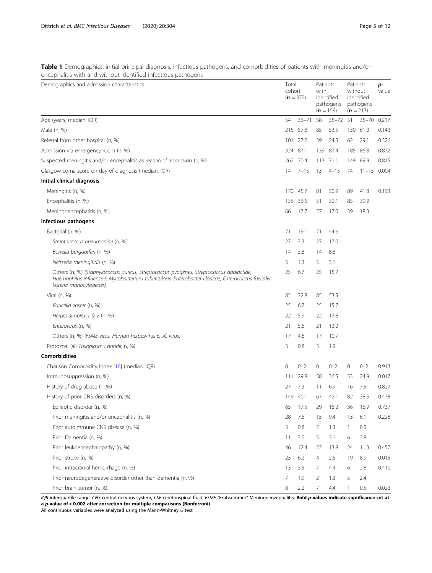<span id="page-4-0"></span>

| Table 1 Demographics, initial principal diagnosis, infectious pathogens, and comorbidities of patients with meningitis and/or |  |  |  |  |  |  |
|-------------------------------------------------------------------------------------------------------------------------------|--|--|--|--|--|--|
| encephalitis with and without identified infectious pathogens                                                                 |  |  |  |  |  |  |

| Demographics and admission characteristics                                                                                                                                                                             | Total<br>cohort | $(n = 372)$ | Patients<br>with | identified<br>pathogens<br>$(n = 159)$ | Patients<br>without<br>$(n = 213)$ | identified<br>pathogens | p-<br>value |
|------------------------------------------------------------------------------------------------------------------------------------------------------------------------------------------------------------------------|-----------------|-------------|------------------|----------------------------------------|------------------------------------|-------------------------|-------------|
| Age (years; median, IQR)                                                                                                                                                                                               | 54              | $36 - 71$   | 58               | $38 - 72$                              | 51                                 | $35 - 70$               | 0.217       |
| Male (n, %)                                                                                                                                                                                                            | 215             | 57.8        | 85               | 53.5                                   | 130                                | 61.0                    | 0.143       |
| Referral from other hospital (n, %)                                                                                                                                                                                    | 101             | 27.2        | 39               | 24.5                                   | 62                                 | 29.1                    | 0.326       |
| Admission via emergency room (n, %)                                                                                                                                                                                    |                 | 324 87.1    |                  | 139 87.4                               | 185                                | 86.8                    | 0.872       |
| Suspected meningitis and/or encephalitis as reason of admission (n, %)                                                                                                                                                 |                 | 262 70.4    |                  | 113 71.1                               | 149                                | 69.9                    | 0.815       |
| Glasgow coma score on day of diagnosis (median, IQR)                                                                                                                                                                   | 14              | $7 - 15$    | 13               | $4 - 15$                               | 14                                 | $11 - 15$ 0.004         |             |
| Initial clinical diagnosis                                                                                                                                                                                             |                 |             |                  |                                        |                                    |                         |             |
| Meningitis (n, %)                                                                                                                                                                                                      |                 | 170 45.7    | 81               | 50.9                                   | 89                                 | 41.8                    | 0.193       |
| Encephalitis (n, %)                                                                                                                                                                                                    | 136             | 36.6        | 51               | 32.1                                   | 85                                 | 39.9                    |             |
| Meningoencephalitis (n, %)                                                                                                                                                                                             | 66              | 17.7        | 27               | 17.0                                   | 39                                 | 18.3                    |             |
| Infectious pathogens                                                                                                                                                                                                   |                 |             |                  |                                        |                                    |                         |             |
| Bacterial (n, %)                                                                                                                                                                                                       | 71              | 19.1        | 71               | 44.6                                   |                                    |                         |             |
| Streptococcus pneumoniae (n, %)                                                                                                                                                                                        | 27              | 7.3         | 27               | 17.0                                   |                                    |                         |             |
| Borrelia burgdorferi (n, %)                                                                                                                                                                                            | 14              | 3.8         | 14               | 8.8                                    |                                    |                         |             |
| Neisseria meningitidis (n, %)                                                                                                                                                                                          | 5               | 1.3         | 5                | 3.1                                    |                                    |                         |             |
| Others (n, %) (Staphylococcus aureus, Streptococcus pyogenes, Streptococcus agalactiae,<br>Haemophilus influenzae, Mycobacterium tuberculosis, Enterobacter cloacae, Enterococcus faecalis,<br>Listeria monocytogenes) | 25              | 6.7         | 25               | 15.7                                   |                                    |                         |             |
| Viral (n, %)                                                                                                                                                                                                           | 85              | 22.8        | 85               | 53.5                                   |                                    |                         |             |
| Varicella zoster (n, %)                                                                                                                                                                                                | 25              | 6.7         | 25               | 15.7                                   |                                    |                         |             |
| Herpes simplex 1 & 2 (n, %)                                                                                                                                                                                            | 22              | 5.9         | 22               | 13.8                                   |                                    |                         |             |
| Enterovirus (n, %)                                                                                                                                                                                                     | 21              | 5.6         | 21               | 13.2                                   |                                    |                         |             |
| Others (n, %) (FSME-virus, Human herpesvirus 6, JC-virus)                                                                                                                                                              | 17              | 4.6         | 17               | 10.7                                   |                                    |                         |             |
| Protozoal (all Toxoplasma gondii; n, %)                                                                                                                                                                                | 3               | 0.8         | 3                | 1.9                                    |                                    |                         |             |
| <b>Comorbidities</b>                                                                                                                                                                                                   |                 |             |                  |                                        |                                    |                         |             |
| Charlson Comorbidity Index [16] (median, IQR)                                                                                                                                                                          | $\mathbf{0}$    | $0 - 2$     | 0                | $0 - 2$                                | 0                                  | $0 - 2$                 | 0.913       |
| Immunosuppression (n, %)                                                                                                                                                                                               | 111             | 29.8        | 58               | 36.5                                   | 53                                 | 24.9                    | 0.017       |
| History of drug abuse (n, %)                                                                                                                                                                                           | 27              | 7.3         | 11               | 6.9                                    | 16                                 | 7.5                     | 0.827       |
| History of prior CNS disorders (n, %)                                                                                                                                                                                  | 149             | -40.1       | 67               | 42.1                                   | 82                                 | 38.5                    | 0.478       |
| Epileptic disorder (n, %)                                                                                                                                                                                              | 65              | 17.5        | 29               | 18.2                                   | 36                                 | 16.9                    | 0.737       |
| Prior meningitis and/or encephalitis (n, %)                                                                                                                                                                            | 28              | 7.5         | 15               | 9.4                                    | 13                                 | 6.1                     | 0.228       |
| Prior autoimmune CNS disease (n, %)                                                                                                                                                                                    | 3               | 0.8         | 2                | 1.3                                    | $\mathbf{1}$                       | 0.5                     |             |
| Prior Dementia (n, %)                                                                                                                                                                                                  | 11              | 3.0         | 5                | 3.1                                    | 6                                  | 2.8                     |             |
| Prior leukoencephalopathy (n, %)                                                                                                                                                                                       | 46              | 12.4        | 22               | 13.8                                   | 24                                 | 11.3                    | 0.457       |
| Prior stroke (n, %)                                                                                                                                                                                                    | 23              | 6.2         | 4                | 2.5                                    | 19                                 | 8.9                     | 0.015       |
| Prior intracranial hemorrhage (n, %)                                                                                                                                                                                   | 13              | 3.5         | 7                | 4.4                                    | 6                                  | 2.8                     | 0.410       |
| Prior neurodegenerative disorder other than dementia (n, %)                                                                                                                                                            | 7               | 1.9         | 2                | 1.3                                    | 5                                  | 2.4                     |             |
| Prior brain tumor (n, %)                                                                                                                                                                                               | 8               | 2.2         | 7                | 4.4                                    | 1                                  | 0.5                     | 0.023       |

IQR interquartile range, CNS central nervous system, CSF cerebrospinal fluid, FSME "Frühsommer"-Meningoenzephalitis; **Bold p-values indicate significance set at** a p-value of < 0.002 after correction for multiple comparisons (Bonferroni)

All continuous variables were analyzed using the Mann-Whitney  $U$  test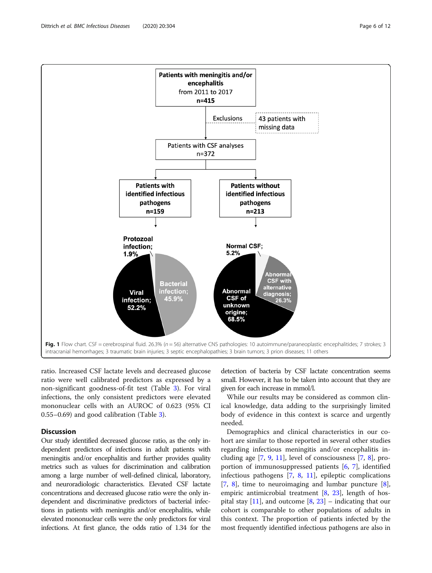ratio. Increased CSF lactate levels and decreased glucose ratio were well calibrated predictors as expressed by a non-significant goodness-of-fit test (Table [3](#page-8-0)). For viral infections, the only consistent predictors were elevated mononuclear cells with an AUROC of 0.623 (95% CI 0.55–0.69) and good calibration (Table [3\)](#page-8-0).

## **Discussion**

Our study identified decreased glucose ratio, as the only independent predictors of infections in adult patients with meningitis and/or encephalitis and further provides quality metrics such as values for discrimination and calibration among a large number of well-defined clinical, laboratory, and neuroradiologic characteristics. Elevated CSF lactate concentrations and decreased glucose ratio were the only independent and discriminative predictors of bacterial infections in patients with meningitis and/or encephalitis, while elevated mononuclear cells were the only predictors for viral infections. At first glance, the odds ratio of 1.34 for the

detection of bacteria by CSF lactate concentration seems small. However, it has to be taken into account that they are given for each increase in mmol/l.

While our results may be considered as common clinical knowledge, data adding to the surprisingly limited body of evidence in this context is scarce and urgently needed.

Demographics and clinical characteristics in our cohort are similar to those reported in several other studies regarding infectious meningitis and/or encephalitis including age  $[7, 9, 11]$  $[7, 9, 11]$  $[7, 9, 11]$  $[7, 9, 11]$  $[7, 9, 11]$  $[7, 9, 11]$ , level of consciousness  $[7, 8]$  $[7, 8]$  $[7, 8]$  $[7, 8]$ , proportion of immunosuppressed patients [[6](#page-10-0), [7\]](#page-10-0), identified infectious pathogens [[7,](#page-10-0) [8](#page-10-0), [11](#page-11-0)], epileptic complications  $[7, 8]$  $[7, 8]$  $[7, 8]$  $[7, 8]$  $[7, 8]$ , time to neuroimaging and lumbar puncture  $[8]$  $[8]$ , empiric antimicrobial treatment [[8,](#page-10-0) [23](#page-11-0)], length of hospital stay  $[11]$  $[11]$ , and outcome  $[8, 23]$  $[8, 23]$  $[8, 23]$  $[8, 23]$  – indicating that our cohort is comparable to other populations of adults in this context. The proportion of patients infected by the most frequently identified infectious pathogens are also in

<span id="page-5-0"></span>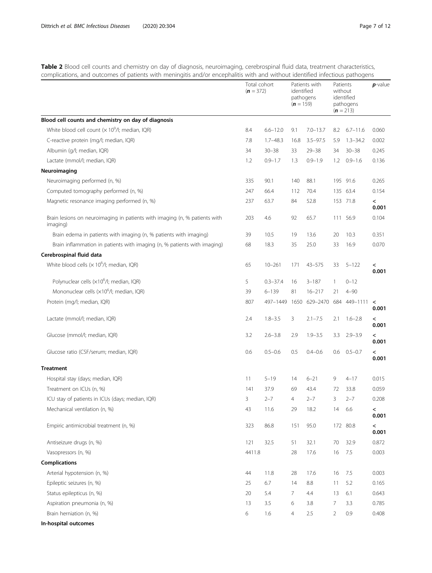<span id="page-6-0"></span>Table 2 Blood cell counts and chemistry on day of diagnosis, neuroimaging, cerebrospinal fluid data, treatment characteristics, complications, and outcomes of patients with meningitis and/or encephalitis with and without identified infectious pathogens

|                                                                                        | Total cohort<br>$(n = 372)$ |              | identified<br>$(n = 159)$ | Patients with<br>pathogens | Patients<br>without | identified<br>pathogens<br>$(n = 213)$ | $p$ -value       |
|----------------------------------------------------------------------------------------|-----------------------------|--------------|---------------------------|----------------------------|---------------------|----------------------------------------|------------------|
| Blood cell counts and chemistry on day of diagnosis                                    |                             |              |                           |                            |                     |                                        |                  |
| White blood cell count $(x 10^9/l)$ ; median, IQR)                                     | 8.4                         | $6.6 - 12.0$ | 9.1                       | $7.0 - 13.7$               | 8.2                 | $6.7 - 11.6$                           | 0.060            |
| C-reactive protein (mg/l; median, IQR)                                                 | 7.8                         | $1.7 - 48.3$ | 16.8                      | $3.5 - 97.5$               | 5.9                 | $1.3 - 34.2$                           | 0.002            |
| Albumin (g/l; median, IQR)                                                             | 34                          | $30 - 38$    | 33                        | $29 - 38$                  | 34                  | $30 - 38$                              | 0.245            |
| Lactate (mmol/l; median, IQR)                                                          | 1.2                         | $0.9 - 1.7$  | 1.3                       | $0.9 - 1.9$                | 1.2                 | $0.9 - 1.6$                            | 0.136            |
| Neuroimaging                                                                           |                             |              |                           |                            |                     |                                        |                  |
| Neuroimaging performed (n, %)                                                          | 335                         | 90.1         | 140                       | 88.1                       |                     | 195 91.6                               | 0.265            |
| Computed tomography performed (n, %)                                                   | 247                         | 66.4         | 112                       | 70.4                       |                     | 135 63.4                               | 0.154            |
| Magnetic resonance imaging performed (n, %)                                            | 237                         | 63.7         | 84                        | 52.8                       |                     | 153 71.8                               | $\,<\,$<br>0.001 |
| Brain lesions on neuroimaging in patients with imaging (n, % patients with<br>imaging) | 203                         | 4.6          | 92                        | 65.7                       | 111                 | 56.9                                   | 0.104            |
| Brain edema in patients with imaging (n, % patients with imaging)                      | 39                          | 10.5         | 19                        | 13.6                       | 20                  | 10.3                                   | 0.351            |
| Brain inflammation in patients with imaging (n, % patients with imaging)               | 68                          | 18.3         | 35                        | 25.0                       | 33                  | 16.9                                   | 0.070            |
| Cerebrospinal fluid data                                                               |                             |              |                           |                            |                     |                                        |                  |
| White blood cells $(x 106/I;$ median, IQR)                                             | 65                          | $10 - 261$   | 171                       | $43 - 575$                 | 33                  | $5 - 122$                              | $\,<$<br>0.001   |
| Polynuclear cells (x10 <sup>6</sup> /l; median, IQR)                                   | 5                           | $0.3 - 37.4$ | 16                        | $3 - 187$                  | $\mathbf{1}$        | $0 - 12$                               |                  |
| Mononuclear cells (×10 <sup>6</sup> /l; median, IQR)                                   | 39                          | $6 - 139$    | 81                        | $16 - 217$                 | 21                  | $4 - 90$                               |                  |
| Protein (mg/l; median, IQR)                                                            | 807                         | 497-1449     |                           | 1650 629-2470              |                     | 684 449-1111 <                         | 0.001            |
| Lactate (mmol/l; median, IQR)                                                          | 2.4                         | $1.8 - 3.5$  | 3                         | $2.1 - 7.5$                | 2.1                 | $1.6 - 2.8$                            | $\,<\,$<br>0.001 |
| Glucose (mmol/l; median, IQR)                                                          | 3.2                         | $2.6 - 3.8$  | 2.9                       | $1.9 - 3.5$                | 3.3                 | $2.9 - 3.9$                            | $\,<\,$<br>0.001 |
| Glucose ratio (CSF/serum; median, IQR)                                                 | 0.6                         | $0.5 - 0.6$  | 0.5                       | $0.4 - 0.6$                | 0.6                 | $0.5 - 0.7$                            | $\,<\,$<br>0.001 |
| <b>Treatment</b>                                                                       |                             |              |                           |                            |                     |                                        |                  |
| Hospital stay (days; median, IQR)                                                      | 11                          | $5 - 19$     | 14                        | $6 - 21$                   | 9                   | $4 - 17$                               | 0.015            |
| Treatment on ICUs (n, %)                                                               | 141                         | 37.9         | 69                        | 43.4                       | 72                  | 33.8                                   | 0.059            |
| ICU stay of patients in ICUs (days; median, IQR)                                       | 3                           | $2 - 7$      | $\overline{4}$            | $2 - 7$                    | 3                   | $2 - 7$                                | 0.208            |
| Mechanical ventilation (n, %)                                                          | 43                          | 11.6         | 29                        | 18.2                       | 14                  | 6.6                                    | $\,<\,$<br>0.001 |
| Empiric antimicrobial treatment (n, %)                                                 | 323                         | 86.8         | 151                       | 95.0                       | 172                 | 80.8                                   | $\,<\,$<br>0.001 |
| Antiseizure drugs (n, %)                                                               | 121                         | 32.5         | 51                        | 32.1                       | 70                  | 32.9                                   | 0.872            |
| Vasopressors (n, %)                                                                    | 4411.8                      |              | 28                        | 17.6                       | 16                  | 7.5                                    | 0.003            |
| <b>Complications</b>                                                                   |                             |              |                           |                            |                     |                                        |                  |
| Arterial hypotension (n, %)                                                            | 44                          | 11.8         | 28                        | 17.6                       | 16                  | 7.5                                    | 0.003            |
| Epileptic seizures (n, %)                                                              | 25                          | 6.7          | 14                        | 8.8                        | 11                  | 5.2                                    | 0.165            |
| Status epilepticus (n, %)                                                              | 20                          | 5.4          | 7                         | 4.4                        | 13                  | 6.1                                    | 0.643            |
| Aspiration pneumonia (n, %)                                                            | 13                          | 3.5          | 6                         | 3.8                        | 7                   | 3.3                                    | 0.785            |
| Brain herniation (n, %)                                                                | 6                           | 1.6          | 4                         | 2.5                        | $\overline{2}$      | 0.9                                    | 0.408            |
| In-hospital outcomes                                                                   |                             |              |                           |                            |                     |                                        |                  |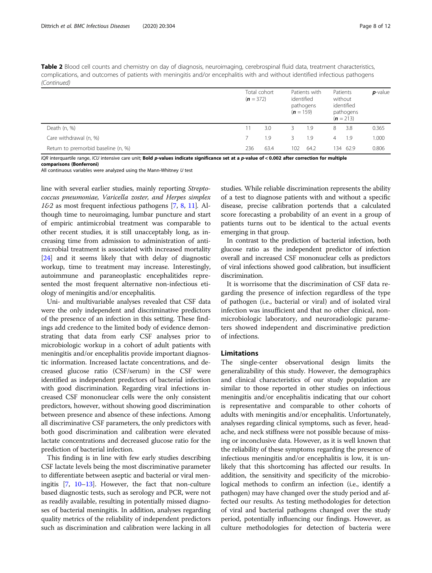Table 2 Blood cell counts and chemistry on day of diagnosis, neuroimaging, cerebrospinal fluid data, treatment characteristics, complications, and outcomes of patients with meningitis and/or encephalitis with and without identified infectious pathogens (Continued)

|                                     | $(n = 372)$ | Total cohort | Patients with<br>identified<br>pathogens<br>$(n = 159)$ |      | Patients<br>without<br>identified<br>pathogens<br>$(n = 213)$ |          | $p$ -value |  |
|-------------------------------------|-------------|--------------|---------------------------------------------------------|------|---------------------------------------------------------------|----------|------------|--|
| Death (n, %)                        | 11          | 3.0          | 3                                                       | 1.9  | 8                                                             | 3.8      | 0.365      |  |
| Care withdrawal (n, %)              |             | 1.9          | 3                                                       | 1.9  | $\overline{4}$                                                | 1.9      | 1.000      |  |
| Return to premorbid baseline (n, %) | 236         | 63.4         | 102                                                     | 64.2 |                                                               | 134 62.9 | 0.806      |  |

IQR interquartile range, ICU intensive care unit; Bold p-values indicate significance set at a p-value of < 0.002 after correction for multiple

All continuous variables were analyzed using the Mann-Whitney  $U$  test

line with several earlier studies, mainly reporting Streptococcus pneumoniae, Varicella zoster, and Herpes simplex  $162$  as most frequent infectious pathogens [[7](#page-10-0), [8,](#page-10-0) [11\]](#page-11-0). Although time to neuroimaging, lumbar puncture and start of empiric antimicrobial treatment was comparable to other recent studies, it is still unacceptably long, as increasing time from admission to administration of antimicrobial treatment is associated with increased mortality [[24](#page-11-0)] and it seems likely that with delay of diagnostic workup, time to treatment may increase. Interestingly, autoimmune and paraneoplastic encephalitides represented the most frequent alternative non-infectious etiology of meningitis and/or encephalitis.

Uni- and multivariable analyses revealed that CSF data were the only independent and discriminative predictors of the presence of an infection in this setting. These findings add credence to the limited body of evidence demonstrating that data from early CSF analyses prior to microbiologic workup in a cohort of adult patients with meningitis and/or encephalitis provide important diagnostic information. Increased lactate concentrations, and decreased glucose ratio (CSF/serum) in the CSF were identified as independent predictors of bacterial infection with good discrimination. Regarding viral infections increased CSF mononuclear cells were the only consistent predictors, however, without showing good discrimination between presence and absence of these infections. Among all discriminative CSF parameters, the only predictors with both good discrimination and calibration were elevated lactate concentrations and decreased glucose ratio for the prediction of bacterial infection.

This finding is in line with few early studies describing CSF lactate levels being the most discriminative parameter to differentiate between aseptic and bacterial or viral meningitis [[7,](#page-10-0) [10](#page-11-0)–[13\]](#page-11-0). However, the fact that non-culture based diagnostic tests, such as serology and PCR, were not as readily available, resulting in potentially missed diagnoses of bacterial meningitis. In addition, analyses regarding quality metrics of the reliability of independent predictors such as discrimination and calibration were lacking in all

studies. While reliable discrimination represents the ability of a test to diagnose patients with and without a specific disease, precise calibration portends that a calculated score forecasting a probability of an event in a group of patients turns out to be identical to the actual events emerging in that group.

In contrast to the prediction of bacterial infection, both glucose ratio as the independent predictor of infection overall and increased CSF mononuclear cells as predictors of viral infections showed good calibration, but insufficient discrimination.

It is worrisome that the discrimination of CSF data regarding the presence of infection regardless of the type of pathogen (i.e., bacterial or viral) and of isolated viral infection was insufficient and that no other clinical, nonmicrobiologic laboratory, and neuroradiologic parameters showed independent and discriminative prediction of infections.

## Limitations

The single-center observational design limits the generalizability of this study. However, the demographics and clinical characteristics of our study population are similar to those reported in other studies on infectious meningitis and/or encephalitis indicating that our cohort is representative and comparable to other cohorts of adults with meningitis and/or encephalitis. Unfortunately, analyses regarding clinical symptoms, such as fever, headache, and neck stiffness were not possible because of missing or inconclusive data. However, as it is well known that the reliability of these symptoms regarding the presence of infectious meningitis and/or encephalitis is low, it is unlikely that this shortcoming has affected our results. In addition, the sensitivity and specificity of the microbiological methods to confirm an infection (i.e., identify a pathogen) may have changed over the study period and affected our results. As testing methodologies for detection of viral and bacterial pathogens changed over the study period, potentially influencing our findings. However, as culture methodologies for detection of bacteria were

comparisons (Bonferroni)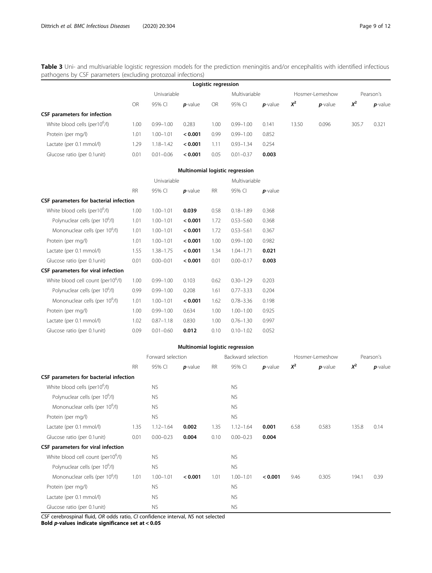<span id="page-8-0"></span>Table 3 Uni- and multivariable logistic regression models for the prediction meningitis and/or encephalitis with identified infectious pathogens by CSF parameters (excluding protozoal infections)

| Logistic regression                       |             |               |            |           |               |            |       |                 |           |            |  |
|-------------------------------------------|-------------|---------------|------------|-----------|---------------|------------|-------|-----------------|-----------|------------|--|
|                                           | Univariable |               |            |           | Multivariable |            |       | Hosmer-Lemeshow | Pearson's |            |  |
|                                           | OR          | 95% CI        | $p$ -value | <b>OR</b> | 95% CI        | $p$ -value | $X^2$ | $p$ -value      | $X^2$     | $p$ -value |  |
| CSF parameters for infection              |             |               |            |           |               |            |       |                 |           |            |  |
| White blood cells (per10 <sup>o</sup> /l) | 1.00        | $0.99 - 1.00$ | 0.283      | 1.00      | $0.99 - 1.00$ | 0.141      | 13.50 | 0.096           | 305.7     | 0.321      |  |
| Protein (per mg/l)                        | 1.01        | $1.00 - 1.01$ | < 0.001    | 0.99      | $0.99 - 1.00$ | 0.852      |       |                 |           |            |  |
| Lactate (per 0.1 mmol/l)                  | 1.29        | 1.18-1.42     | < 0.001    | 1.11      | $0.93 - 1.34$ | 0.254      |       |                 |           |            |  |
| Glucose ratio (per 0.1 unit)              | 0.01        | $0.01 - 0.06$ | < 0.001    | 0.05      | $0.01 - 0.37$ | 0.003      |       |                 |           |            |  |

|                                                |           | Univariable   |            |           | Multivariable |            |
|------------------------------------------------|-----------|---------------|------------|-----------|---------------|------------|
|                                                | <b>RR</b> | 95% CI        | $p$ -value | <b>RR</b> | 95% CI        | $p$ -value |
| CSF parameters for bacterial infection         |           |               |            |           |               |            |
| White blood cells (per10 <sup>6</sup> /l)      | 1.00      | $1.00 - 1.01$ | 0.039      | 0.58      | $0.18 - 1.89$ | 0.368      |
| Polynuclear cells (per 10 <sup>o</sup> /l)     | 1.01      | $1.00 - 1.01$ | < 0.001    | 1.72      | $0.53 - 5.60$ | 0.368      |
| Mononuclear cells (per 10°/l)                  | 1.01      | $1.00 - 1.01$ | < 0.001    | 1.72      | $0.53 - 5.61$ | 0.367      |
| Protein (per mg/l)                             | 1.01      | $1.00 - 1.01$ | < 0.001    | 1.00      | $0.99 - 1.00$ | 0.982      |
| Lactate (per 0.1 mmol/l)                       | 1.55      | $1.38 - 1.75$ | < 0.001    | 1.34      | $1.04 - 1.71$ | 0.021      |
| Glucose ratio (per 0.1 unit)                   | 0.01      | $0.00 - 0.01$ | < 0.001    | 0.01      | $0.00 - 0.17$ | 0.003      |
| CSF parameters for viral infection             |           |               |            |           |               |            |
| White blood cell count (per10 <sup>6</sup> /l) | 1.00      | $0.99 - 1.00$ | 0.103      | 0.62      | $0.30 - 1.29$ | 0.203      |
| Polynuclear cells (per 10 <sup>6</sup> /l)     | 0.99      | $0.99 - 1.00$ | 0.208      | 1.61      | $0.77 - 3.33$ | 0.204      |
| Mononuclear cells (per 10°/l)                  | 1.01      | $1.00 - 1.01$ | < 0.001    | 1.62      | $0.78 - 3.36$ | 0.198      |
| Protein (per mg/l)                             | 1.00      | $0.99 - 1.00$ | 0.634      | 1.00      | $1.00 - 1.00$ | 0.925      |
| Lactate (per 0.1 mmol/l)                       | 1.02      | $0.87 - 1.18$ | 0.830      | 1.00      | $0.76 - 1.30$ | 0.997      |
| Glucose ratio (per 0.1 unit)                   | 0.09      | $0.01 - 0.60$ | 0.012      | 0.10      | $0.10 - 1.02$ | 0.052      |

## Multinomial logistic regression

|                                                |           | Forward selection |            |           | Backward selection<br>Hosmer-Lemeshow |            | Pearson's |            |       |            |
|------------------------------------------------|-----------|-------------------|------------|-----------|---------------------------------------|------------|-----------|------------|-------|------------|
|                                                | <b>RR</b> | 95% CI            | $p$ -value | <b>RR</b> | 95% CI                                | $p$ -value | $X^2$     | $p$ -value | $X^2$ | $p$ -value |
| CSF parameters for bacterial infection         |           |                   |            |           |                                       |            |           |            |       |            |
| White blood cells (per10 <sup>6</sup> /l)      |           | <b>NS</b>         |            |           | <b>NS</b>                             |            |           |            |       |            |
| Polynuclear cells (per 10 <sup>6</sup> /l)     |           | <b>NS</b>         |            |           | <b>NS</b>                             |            |           |            |       |            |
| Mononuclear cells (per 10 <sup>6</sup> /l)     |           | <b>NS</b>         |            |           | NS.                                   |            |           |            |       |            |
| Protein (per mg/l)                             |           | <b>NS</b>         |            |           | <b>NS</b>                             |            |           |            |       |            |
| Lactate (per 0.1 mmol/l)                       | 1.35      | $1.12 - 1.64$     | 0.002      | 1.35      | $1.12 - 1.64$                         | 0.001      | 6.58      | 0.583      | 135.8 | 0.14       |
| Glucose ratio (per 0.1 unit)                   | 0.01      | $0.00 - 0.23$     | 0.004      | 0.10      | $0.00 - 0.23$                         | 0.004      |           |            |       |            |
| CSF parameters for viral infection             |           |                   |            |           |                                       |            |           |            |       |            |
| White blood cell count (per10 <sup>6</sup> /l) |           | <b>NS</b>         |            |           | NS.                                   |            |           |            |       |            |
| Polynuclear cells (per 10 <sup>6</sup> /l)     |           | <b>NS</b>         |            |           | <b>NS</b>                             |            |           |            |       |            |
| Mononuclear cells (per 10 <sup>6</sup> /l)     | 1.01      | $1.00 - 1.01$     | < 0.001    | 1.01      | $1.00 - 1.01$                         | < 0.001    | 9.46      | 0.305      | 194.1 | 0.39       |
| Protein (per mg/l)                             |           | <b>NS</b>         |            |           | NS.                                   |            |           |            |       |            |
| Lactate (per 0.1 mmol/l)                       |           | <b>NS</b>         |            |           | NS.                                   |            |           |            |       |            |
| Glucose ratio (per 0.1 unit)                   |           | <b>NS</b>         |            |           | <b>NS</b>                             |            |           |            |       |            |

CSF cerebrospinal fluid, OR odds ratio, CI confidence interval, NS not selected Bold p-values indicate significance set at < 0.05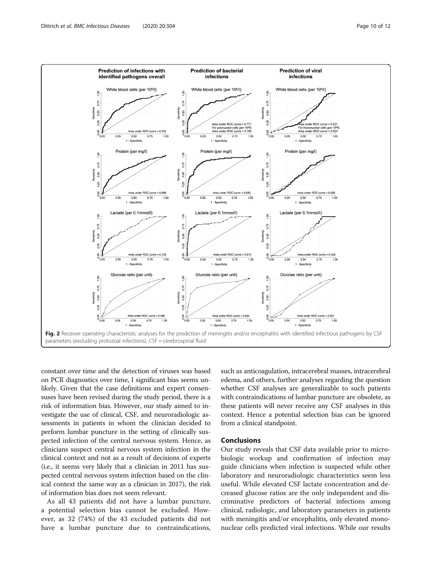<span id="page-9-0"></span>

constant over time and the detection of viruses was based on PCR diagnostics over time, I significant bias seems unlikely. Given that the case definitions and expert consensuses have been revised during the study period, there is a risk of information bias. However, our study aimed to investigate the use of clinical, CSF, and neuroradiologic assessments in patients in whom the clinician decided to perform lumbar puncture in the setting of clinically suspected infection of the central nervous system. Hence, as clinicians suspect central nervous system infection in the clinical context and not as a result of decisions of experts (i.e., it seems very likely that a clinician in 2011 has suspected central nervous system infection based on the clinical context the same way as a clinician in 2017), the risk of information bias does not seem relevant.

As all 43 patients did not have a lumbar puncture, a potential selection bias cannot be excluded. However, as 32 (74%) of the 43 excluded patients did not have a lumbar puncture due to contraindications, such as anticoagulation, intracerebral masses, intracerebral edema, and others, further analyses regarding the question whether CSF analyses are generalizable to such patients with contraindications of lumbar puncture are obsolete, as these patients will never receive any CSF analyses in this context. Hence a potential selection bias can be ignored from a clinical standpoint.

## Conclusions

Our study reveals that CSF data available prior to microbiologic workup and confirmation of infection may guide clinicians when infection is suspected while other laboratory and neuroradiologic characteristics seem less useful. While elevated CSF lactate concentration and decreased glucose ratios are the only independent and discriminative predictors of bacterial infections among clinical, radiologic, and laboratory parameters in patients with meningitis and/or encephalitis, only elevated mononuclear cells predicted viral infections. While our results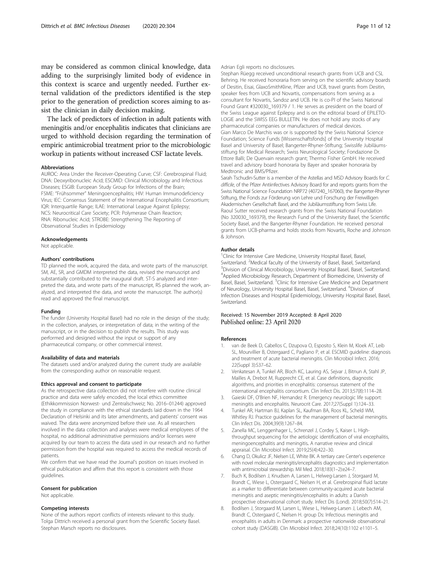<span id="page-10-0"></span>may be considered as common clinical knowledge, data adding to the surprisingly limited body of evidence in this context is scarce and urgently needed. Further external validation of the predictors identified is the step prior to the generation of prediction scores aiming to assist the clinician in daily decision making.

The lack of predictors of infection in adult patients with meningitis and/or encephalitis indicates that clinicians are urged to withhold decision regarding the termination of empiric antimicrobial treatment prior to the microbiologic workup in patients without increased CSF lactate levels.

#### Abbreviations

AUROC: Area Under the Receiver-Operating Curve; CSF: Cerebrospinal Fluid; DNA: Deoxyribonucleic Acid; ESCMID: Clinical Microbiology and Infectious Diseases; ESGIB: European Study Group for Infections of the Brain; FSME: "Frühsommer" Meningoencephalitis; HIV: Human Immunodeficiency Virus; IEC: Consensus Statement of the International Encephalitis Consortium; IQR: Interquartile Range; ILAE: International League Against Epilepsy; NCS: Neurocritical Care Society; PCR: Polymerase Chain Reaction; RNA: Ribonucleic Acid; STROBE: Strengthening The Reporting of Observational Studies in Epidemiology

#### Acknowledgements

Not applicable.

#### Authors' contributions

TD planned the work, acquired the data, and wrote parts of the manuscript. SM, AE, SR, and GMDM interpreted the data, revised the manuscript and substantially contributed to the inaugural draft. ST-S analyzed and interpreted the data, and wrote parts of the manuscript, RS planned the work, analyzed, and interpreted the data, and wrote the manuscript. The author(s) read and approved the final manuscript.

#### Funding

The funder (University Hospital Basel) had no role in the design of the study; in the collection, analyses, or interpretation of data; in the writing of the manuscript, or in the decision to publish the results. This study was performed and designed without the input or support of any pharmaceutical company, or other commercial interest.

#### Availability of data and materials

The datasets used and/or analyzed during the current study are available from the corresponding author on reasonable request.

#### Ethics approval and consent to participate

As the retrospective data collection did not interfere with routine clinical practice and data were safely encoded, the local ethics committee (Ethikkommission Norwest- und Zentralschweiz; No. 2016–01244) approved the study in compliance with the ethical standards laid down in the 1964 Declaration of Helsinki and its later amendments, and patients' consent was waived. The data were anonymized before their use. As all researchers involved in the data collection and analyses were medical employees of the hospital, no additional administrative permissions and/or licenses were acquired by our team to access the data used in our research and no further permission from the hospital was required to access the medical records of patients.

We confirm that we have read the Journal's position on issues involved in ethical publication and affirm that this report is consistent with those guidelines.

#### Consent for publication

Not applicable.

#### Competing interests

None of the authors report conflicts of interests relevant to this study. Tolga Dittrich received a personal grant from the Scientific Society Basel. Stephan Marsch reports no disclosures.

Adrian Egli reports no disclosures.

Stephan Rüegg received unconditional research grants from UCB and CSL Behring. He received honoraria from serving on the scientific advisory boards of Desitin, Eisai, GlaxoSmithKline, Pfizer and UCB, travel grants from Desitin, speaker fees from UCB and Novartis, compensations from serving as a consultant for Novartis, Sandoz and UCB. He is co-PI of the Swiss National Found Grant #320030\_169379 / 1. He serves as president on the board of the Swiss League against Epilepsy and is on the editorial board of EPILETO-LOGIE and the SWISS EEG BULLETIN. He does not hold any stocks of any pharmaceutical companies or manufacturers of medical devices. Gian Marco De Marchis was or is supported by the Swiss National Science Foundation; Science Funds [Wissenschaftsfonds] of the University Hospital Basel and University of Basel; Bangerter-Rhyner-Stiftung; Swisslife Jubiläumsstiftung for Medical Research; Swiss Neurological Society; Fondazione Dr. Ettore Balli; De Quervain research grant; Thermo Fisher GmbH. He received travel and advisory board honoraria by Bayer and speaker honoraria by Medtronic and BMS/Pfizer.

Sarah Tschudin-Sutter is a member of the Astellas and MSD Advisory Boards for C. difficile, of the Pfizer Antiinfectives Advisory Board for and reports grants from the Swiss National Science Foundation NRP72 (407240\_167060), the Bangerter-Rhyner Stiftung, the Fonds zur Förderung von Lehre und Forschung der Freiwilligen Akademischen Gesellschaft Basel, and the Jubiläumsstiftung from Swiss Life. Raoul Sutter received research grants from the Swiss National Foundation (No 320030\_169379), the Research Fund of the University Basel, the Scientific Society Basel, and the Bangerter-Rhyner Foundation. He received personal grants from UCB-pharma and holds stocks from Novartis, Roche and Johnson & Johnson.

#### Author details

<sup>1</sup> Clinic for Intensive Care Medicine, University Hospital Basel, Basel, Switzerland. <sup>2</sup> Medical faculty of the University of Basel, Basel, Switzerland.<br><sup>3</sup> Division of Clinical Microbiology, University Hospital Basel, Basel, Switzer <sup>3</sup> Division of Clinical Microbiology, University Hospital Basel, Basel, Switzerland. 4 Applied Microbiology Research, Department of Biomedicine, University of Basel, Basel, Switzerland. <sup>5</sup>Clinic for Intensive Care Medicine and Department of Neurology, University Hospital Basel, Basel, Switzerland. <sup>6</sup>Division of Infection Diseases and Hospital Epidemiology, University Hospital Basel, Basel, Switzerland.

## Received: 15 November 2019 Accepted: 8 April 2020 Published online: 23 April 2020

#### References

- van de Beek D, Cabellos C, Dzupova O, Esposito S, Klein M, Kloek AT, Leib SL, Mourvillier B, Ostergaard C, Pagliano P, et al. ESCMID guideline: diagnosis and treatment of acute bacterial meningitis. Clin Microbiol Infect. 2016; 22(Suppl 3):S37–62.
- 2. Venkatesan A, Tunkel AR, Bloch KC, Lauring AS, Sejvar J, Bitnun A, Stahl JP, Mailles A, Drebot M, Rupprecht CE, et al. Case definitions, diagnostic algorithms, and priorities in encephalitis: consensus statement of the international encephalitis consortium. Clin Infect Dis. 2013;57(8):1114–28.
- 3. Gaieski DF, O'Brien NF, Hernandez R. Emergency neurologic life support: meningitis and encephalitis. Neurocrit Care. 2017;27(Suppl 1):124–33.
- 4. Tunkel AR, Hartman BJ, Kaplan SL, Kaufman BA, Roos KL, Scheld WM, Whitley RJ. Practice guidelines for the management of bacterial meningitis. Clin Infect Dis. 2004;39(9):1267–84.
- 5. Zanella MC, Lenggenhager L, Schrenzel J, Cordey S, Kaiser L. Highthroughput sequencing for the aetiologic identification of viral encephalitis, meningoencephalitis and meningitis. A narrative review and clinical appraisal. Clin Microbiol Infect. 2019;25(4):422–30.
- 6. Chang D, Okulicz JF, Nielsen LE, White BK. A tertiary care Center's experience with novel molecular meningitis/encephalitis diagnostics and implementation with antimicrobial stewardship. Mil Med. 2018;183(1–2):e24–7.
- 7. Buch K, Bodilsen J, Knudsen A, Larsen L, Helweg-Larsen J, Storgaard M, Brandt C, Wiese L, Ostergaard C, Nielsen H, et al. Cerebrospinal fluid lactate as a marker to differentiate between community-acquired acute bacterial meningitis and aseptic meningitis/encephalitis in adults: a Danish prospective observational cohort study. Infect Dis (Lond). 2018;50(7):514–21.
- 8. Bodilsen J, Storgaard M, Larsen L, Wiese L, Helweg-Larsen J, Lebech AM, Brandt C, Ostergaard C, Nielsen H. group Ds: Infectious meningitis and encephalitis in adults in Denmark: a prospective nationwide observational cohort study (DASGIB). Clin Microbiol Infect. 2018;24(10):1102 e1101–5.